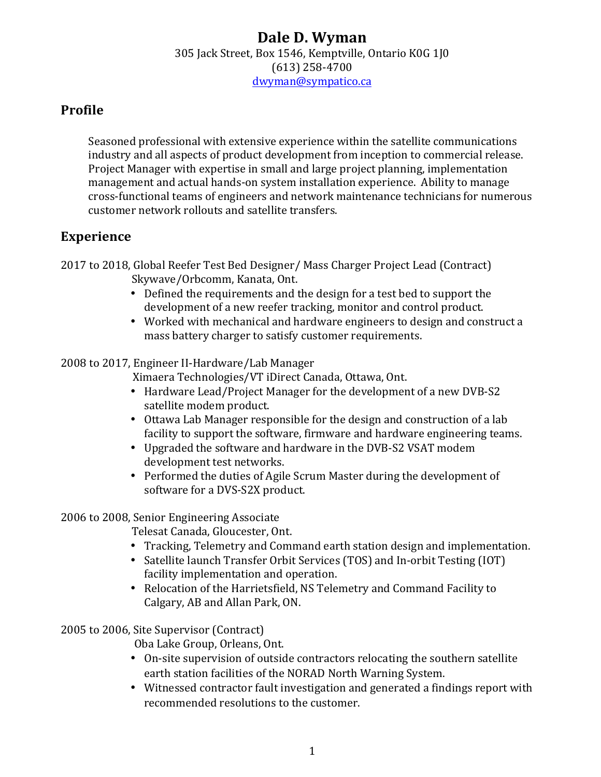#### **Dale D. Wyman** 305 Jack Street, Box 1546, Kemptville, Ontario K0G 1J0 (613) 258-4700 dwyman@sympatico.ca

### **Profile**

Seasoned professional with extensive experience within the satellite communications industry and all aspects of product development from inception to commercial release. Project Manager with expertise in small and large project planning, implementation management and actual hands-on system installation experience. Ability to manage cross-functional teams of engineers and network maintenance technicians for numerous customer network rollouts and satellite transfers.

#### **Experience**

2017 to 2018, Global Reefer Test Bed Designer/ Mass Charger Project Lead (Contract) Skywave/Orbcomm, Kanata, Ont.

- Defined the requirements and the design for a test bed to support the development of a new reefer tracking, monitor and control product.
- Worked with mechanical and hardware engineers to design and construct a mass battery charger to satisfy customer requirements.

#### 2008 to 2017, Engineer II-Hardware/Lab Manager

Ximaera Technologies/VT iDirect Canada, Ottawa, Ont.

- Hardware Lead/Project Manager for the development of a new DVB-S2 satellite modem product.
- Ottawa Lab Manager responsible for the design and construction of a lab facility to support the software, firmware and hardware engineering teams.
- Upgraded the software and hardware in the DVB-S2 VSAT modem development test networks.
- Performed the duties of Agile Scrum Master during the development of software for a DVS-S2X product.

#### 2006 to 2008, Senior Engineering Associate

Telesat Canada, Gloucester, Ont.

- Tracking, Telemetry and Command earth station design and implementation.
- Satellite launch Transfer Orbit Services (TOS) and In-orbit Testing (IOT) facility implementation and operation.
- Relocation of the Harrietsfield, NS Telemetry and Command Facility to Calgary, AB and Allan Park, ON.

#### 2005 to 2006, Site Supervisor (Contract)

Oba Lake Group, Orleans, Ont.

- On-site supervision of outside contractors relocating the southern satellite earth station facilities of the NORAD North Warning System.
- Witnessed contractor fault investigation and generated a findings report with recommended resolutions to the customer.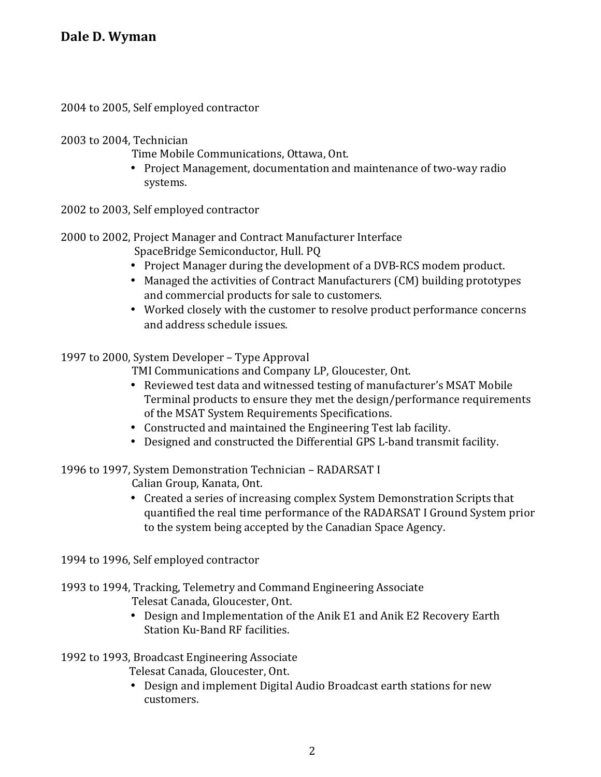2004 to 2005, Self employed contractor

2003 to 2004, Technician

- Time Mobile Communications, Ottawa, Ont.
- Project Management, documentation and maintenance of two-way radio systems.

2002 to 2003, Self employed contractor

2000 to 2002, Project Manager and Contract Manufacturer Interface

SpaceBridge Semiconductor, Hull. PQ

- Project Manager during the development of a DVB-RCS modem product.
- Managed the activities of Contract Manufacturers (CM) building prototypes and commercial products for sale to customers.
- Worked closely with the customer to resolve product performance concerns and address schedule issues.

1997 to 2000. System Developer - Type Approval

TMI Communications and Company LP, Gloucester, Ont.

- Reviewed test data and witnessed testing of manufacturer's MSAT Mobile Terminal products to ensure they met the design/performance requirements of the MSAT System Requirements Specifications.
- Constructed and maintained the Engineering Test lab facility.
- Designed and constructed the Differential GPS L-band transmit facility.

1996 to 1997, System Demonstration Technician - RADARSAT I

Calian Group, Kanata, Ont.

• Created a series of increasing complex System Demonstration Scripts that quantified the real time performance of the RADARSAT I Ground System prior to the system being accepted by the Canadian Space Agency.

1994 to 1996, Self employed contractor

1993 to 1994, Tracking, Telemetry and Command Engineering Associate Telesat Canada, Gloucester, Ont.

> • Design and Implementation of the Anik E1 and Anik E2 Recovery Earth Station Ku-Band RF facilities.

1992 to 1993, Broadcast Engineering Associate

Telesat Canada, Gloucester, Ont.

• Design and implement Digital Audio Broadcast earth stations for new customers.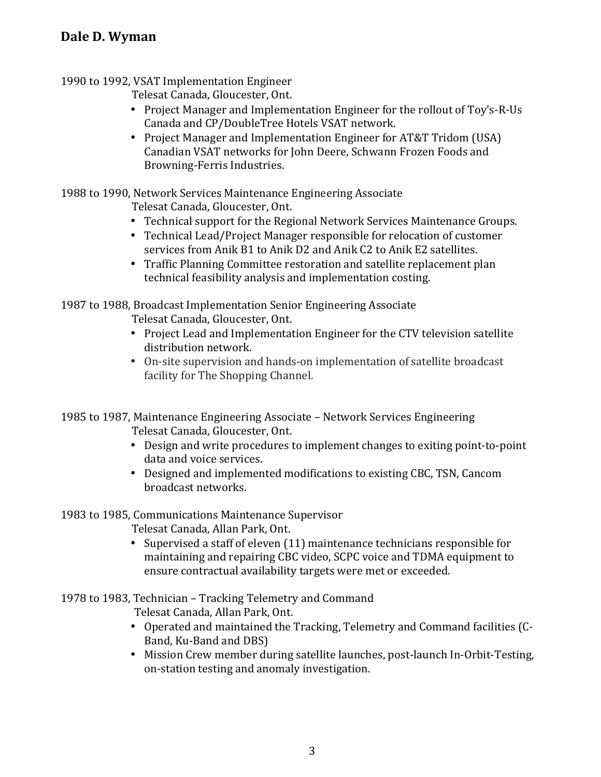# **Dale D. Wyman**

#### 1990 to 1992, VSAT Implementation Engineer

Telesat Canada, Gloucester, Ont.

- Project Manager and Implementation Engineer for the rollout of Toy's-R-Us Canada and CP/DoubleTree Hotels VSAT network.
- Project Manager and Implementation Engineer for AT&T Tridom (USA) Canadian VSAT networks for John Deere, Schwann Frozen Foods and Browning-Ferris Industries.

1988 to 1990, Network Services Maintenance Engineering Associate

- Telesat Canada, Gloucester, Ont.
- Technical support for the Regional Network Services Maintenance Groups.
- Technical Lead/Project Manager responsible for relocation of customer services from Anik B1 to Anik D2 and Anik C2 to Anik E2 satellites.
- Traffic Planning Committee restoration and satellite replacement plan technical feasibility analysis and implementation costing.

1987 to 1988, Broadcast Implementation Senior Engineering Associate Telesat Canada, Gloucester, Ont.

- Project Lead and Implementation Engineer for the CTV television satellite distribution network.
- On-site supervision and hands-on implementation of satellite broadcast facility for The Shopping Channel.

1985 to 1987, Maintenance Engineering Associate – Network Services Engineering Telesat Canada, Gloucester, Ont.

- Design and write procedures to implement changes to exiting point-to-point data and voice services.
- Designed and implemented modifications to existing CBC, TSN, Cancom broadcast networks.

1983 to 1985, Communications Maintenance Supervisor

Telesat Canada, Allan Park, Ont.

• Supervised a staff of eleven (11) maintenance technicians responsible for maintaining and repairing CBC video, SCPC voice and TDMA equipment to ensure contractual availability targets were met or exceeded.

1978 to 1983, Technician - Tracking Telemetry and Command

Telesat Canada, Allan Park, Ont.

- Operated and maintained the Tracking, Telemetry and Command facilities (C-Band, Ku-Band and DBS)
- Mission Crew member during satellite launches, post-launch In-Orbit-Testing, on-station testing and anomaly investigation.